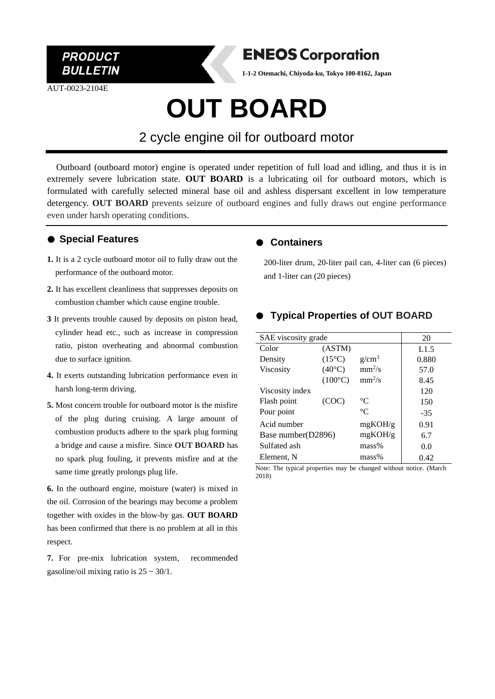

AUT-0023-2104E



**1-1-2 Otemachi, Chiyoda-ku, Tokyo 100-8162, Japan**

# **OUT BOARD**

## 2 cycle engine oil for outboard motor

Outboard (outboard motor) engine is operated under repetition of full load and idling, and thus it is in extremely severe lubrication state. **OUT BOARD** is a lubricating oil for outboard motors, which is formulated with carefully selected mineral base oil and ashless dispersant excellent in low temperature detergency. **OUT BOARD** prevents seizure of outboard engines and fully draws out engine performance even under harsh operating conditions.

### ● **Special Features**

- **1.** It is a 2 cycle outboard motor oil to fully draw out the performance of the outboard motor.
- **2.** It has excellent cleanliness that suppresses deposits on combustion chamber which cause engine trouble.
- **3** It prevents trouble caused by deposits on piston head, cylinder head etc., such as increase in compression ratio, piston overheating and abnormal combustion due to surface ignition.
- **4.** It exerts outstanding lubrication performance even in harsh long-term driving.
- **5.** Most concern trouble for outboard motor is the misfire of the plug during cruising. A large amount of combustion products adhere to the spark plug forming a bridge and cause a misfire. Since **OUT BOARD** has no spark plug fouling, it prevents misfire and at the same time greatly prolongs plug life.

**6.** In the outboard engine, moisture (water) is mixed in the oil. Corrosion of the bearings may become a problem together with oxides in the blow-by gas. **OUT BOARD** has been confirmed that there is no problem at all in this respect.

**7.** For pre-mix lubrication system, recommended gasoline/oil mixing ratio is  $25 \sim 30/1$ .

#### ● **Containers**

200-liter drum, 20-liter pail can, 4-liter can (6 pieces) and 1-liter can (20 pieces)

### ● **Typical Properties of OUT BOARD**

| SAE viscosity grade |                  |             | 20    |
|---------------------|------------------|-------------|-------|
| Color               | (ASTM)           |             | L1.5  |
| Density             | $(15^{\circ}C)$  | $g/cm^3$    | 0.880 |
| <b>Viscosity</b>    | $(40^{\circ}C)$  | $mm^2/s$    | 57.0  |
|                     | $(100^{\circ}C)$ | $mm^2/s$    | 8.45  |
| Viscosity index     |                  |             | 120   |
| Flash point         | (COC)            | $^{\circ}C$ | 150   |
| Pour point          |                  | $^{\circ}C$ | $-35$ |
| Acid number         |                  | mgKOH/g     | 0.91  |
| Base number(D2896)  |                  | mgKOH/g     | 6.7   |
| Sulfated ash        |                  | $mass\%$    | 0.0   |
| Element, N          |                  | mass%       | 0.42  |

Note: The typical properties may be changed without notice. (March 2018)